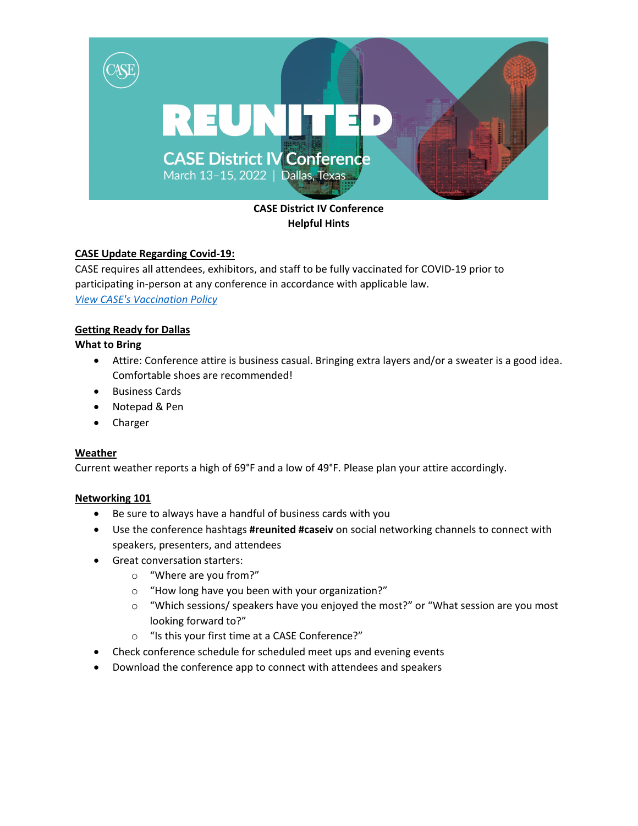

# **CASE District IV Conference Helpful Hints**

### **CASE Update Regarding Covid-19:**

CASE requires all attendees, exhibitors, and staff to be fully vaccinated for COVID-19 prior to participating in-person at any conference in accordance with applicable law. *[View CASE's Vaccination Policy](https://www.case.org/conferences-training/conference-policies/case-covid-19-policies-and-guidelines-us)*

## **Getting Ready for Dallas**

### **What to Bring**

- Attire: Conference attire is business casual. Bringing extra layers and/or a sweater is a good idea. Comfortable shoes are recommended!
- Business Cards
- Notepad & Pen
- Charger

### **Weather**

Current weather reports a high of 69°F and a low of 49°F. Please plan your attire accordingly.

### **Networking 101**

- Be sure to always have a handful of business cards with you
- Use the conference hashtags **#reunited #caseiv** on social networking channels to connect with speakers, presenters, and attendees
- Great conversation starters:
	- o "Where are you from?"
	- o "How long have you been with your organization?"
	- $\circ$  "Which sessions/ speakers have you enjoyed the most?" or "What session are you most looking forward to?"
	- o "Is this your first time at a CASE Conference?"
- Check conference schedule for scheduled meet ups and evening events
- Download the conference app to connect with attendees and speakers